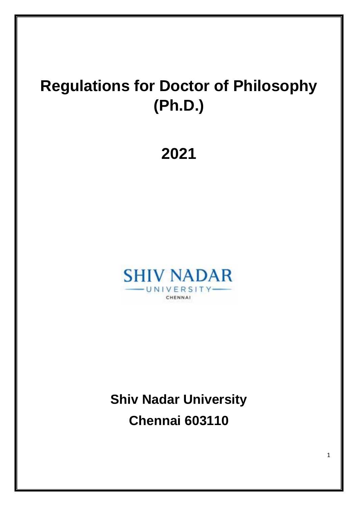# **Regulations for Doctor of Philosophy (Ph.D.)**

**2021**



**Shiv Nadar University Chennai 603110**

1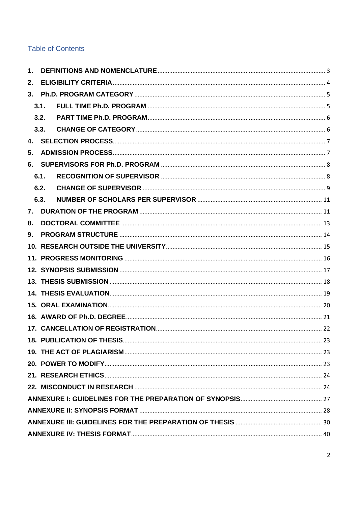### **Table of Contents**

| 1. |      |  |  |  |
|----|------|--|--|--|
| 2. |      |  |  |  |
| 3. |      |  |  |  |
|    | 3.1. |  |  |  |
|    | 3.2. |  |  |  |
|    | 3.3. |  |  |  |
| 4. |      |  |  |  |
| 5. |      |  |  |  |
| 6. |      |  |  |  |
|    | 6.1. |  |  |  |
|    | 6.2. |  |  |  |
|    | 6.3. |  |  |  |
| 7. |      |  |  |  |
| 8. |      |  |  |  |
| 9. |      |  |  |  |
|    |      |  |  |  |
|    |      |  |  |  |
|    |      |  |  |  |
|    |      |  |  |  |
|    |      |  |  |  |
|    |      |  |  |  |
|    |      |  |  |  |
|    |      |  |  |  |
|    |      |  |  |  |
|    |      |  |  |  |
|    |      |  |  |  |
|    |      |  |  |  |
|    |      |  |  |  |
|    |      |  |  |  |
|    |      |  |  |  |
|    |      |  |  |  |
|    |      |  |  |  |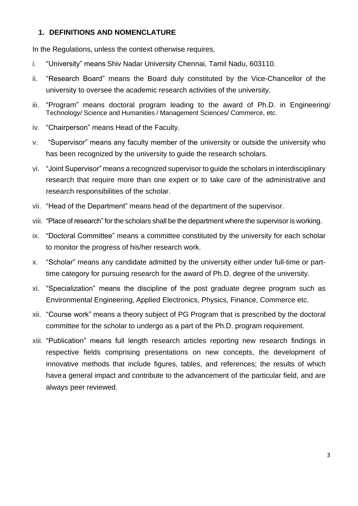#### <span id="page-2-0"></span>**1. DEFINITIONS AND NOMENCLATURE**

In the Regulations, unless the context otherwise requires,

- i. "University" means Shiv Nadar University Chennai, Tamil Nadu, 603110.
- ii. "Research Board" means the Board duly constituted by the Vice-Chancellor of the university to oversee the academic research activities of the university.
- iii. "Program" means doctoral program leading to the award of Ph.D. in Engineering/ Technology/ Science and Humanities / Management Sciences/ Commerce, etc.
- iv. "Chairperson" means Head of the Faculty.
- v. "Supervisor" means any faculty member of the university or outside the university who has been recognized by the university to guide the research scholars.
- vi. "Joint Supervisor" means a recognized supervisor to guide the scholars in interdisciplinary research that require more than one expert or to take care of the administrative and research responsibilities of the scholar.
- vii. "Head of the Department" means head of the department of the supervisor.
- viii. "Place of research" for the scholars shall be the department where the supervisor is working.
- ix. "Doctoral Committee" means a committee constituted by the university for each scholar to monitor the progress of his/her research work.
- x. "Scholar" means any candidate admitted by the university either under full-time or parttime category for pursuing research for the award of Ph.D. degree of the university.
- xi. "Specialization" means the discipline of the post graduate degree program such as Environmental Engineering, Applied Electronics, Physics, Finance, Commerce etc.
- xii. "Course work" means a theory subject of PG Program that is prescribed by the doctoral committee for the scholar to undergo as a part of the Ph.D. program requirement.
- xiii. "Publication" means full length research articles reporting new research findings in respective fields comprising presentations on new concepts, the development of innovative methods that include figures, tables, and references; the results of which havea general impact and contribute to the advancement of the particular field, and are always peer reviewed.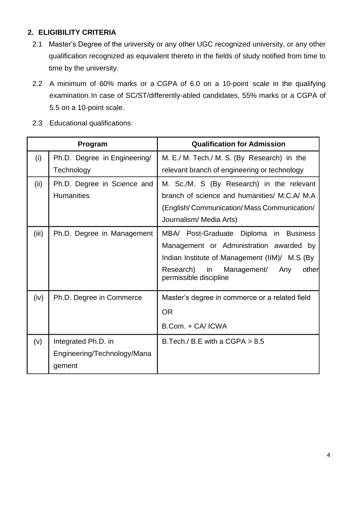### <span id="page-3-0"></span>**2. ELIGIBILITY CRITERIA**

- 2.1 Master's Degree of the university or any other UGC recognized university, or any other qualification recognized as equivalent thereto in the fields of study notified from time to time by the university.
- 2.2 A minimum of 60% marks or a CGPA of 6.0 on a 10-point scale in the qualifying examination.In case of SC/ST/differently-abled candidates, 55% marks or a CGPA of 5.5 on a 10-point scale.
- 2.3 Educational qualifications:

| Program |                              | <b>Qualification for Admission</b>                                    |  |
|---------|------------------------------|-----------------------------------------------------------------------|--|
| (i)     | Ph.D. Degree in Engineering/ | M. E./ M. Tech./ M. S. (By Research) in the                           |  |
|         | Technology                   | relevant branch of engineering or technology                          |  |
| (ii)    | Ph.D. Degree in Science and  | M. Sc./M. S (By Research) in the relevant                             |  |
|         | <b>Humanities</b>            | branch of science and humanities/ M.C.A/ M.A.                         |  |
|         |                              | (English/Communication/Mass Communication/                            |  |
|         |                              | Journalism/ Media Arts)                                               |  |
| (iii)   | Ph.D. Degree in Management   | MBA/ Post-Graduate Diploma in Business                                |  |
|         |                              | Management or Administration awarded by                               |  |
|         |                              | Indian Institute of Management (IIM)/ M.S (By                         |  |
|         |                              | Research) in<br>other<br>Management/<br>Any<br>permissible discipline |  |
| (iv)    | Ph.D. Degree in Commerce     | Master's degree in commerce or a related field                        |  |
|         |                              | <b>OR</b>                                                             |  |
|         |                              | B.Com. + CA/ ICWA                                                     |  |
| (v)     | Integrated Ph.D. in          | B. Tech./ B. E with a CGPA $> 8.5$                                    |  |
|         | Engineering/Technology/Mana  |                                                                       |  |
|         | gement                       |                                                                       |  |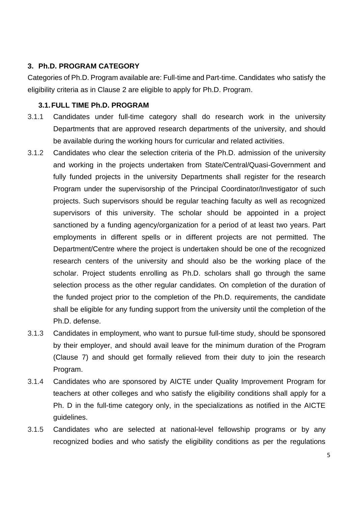#### <span id="page-4-0"></span>**3. Ph.D. PROGRAM CATEGORY**

Categories of Ph.D. Program available are: Full-time and Part-time. Candidates who satisfy the eligibility criteria as in Clause 2 are eligible to apply for Ph.D. Program.

#### <span id="page-4-1"></span>**3.1.FULL TIME Ph.D. PROGRAM**

- 3.1.1 Candidates under full-time category shall do research work in the university Departments that are approved research departments of the university, and should be available during the working hours for curricular and related activities.
- 3.1.2 Candidates who clear the selection criteria of the Ph.D. admission of the university and working in the projects undertaken from State/Central/Quasi-Government and fully funded projects in the university Departments shall register for the research Program under the supervisorship of the Principal Coordinator/Investigator of such projects. Such supervisors should be regular teaching faculty as well as recognized supervisors of this university. The scholar should be appointed in a project sanctioned by a funding agency/organization for a period of at least two years. Part employments in different spells or in different projects are not permitted. The Department/Centre where the project is undertaken should be one of the recognized research centers of the university and should also be the working place of the scholar. Project students enrolling as Ph.D. scholars shall go through the same selection process as the other regular candidates. On completion of the duration of the funded project prior to the completion of the Ph.D. requirements, the candidate shall be eligible for any funding support from the university until the completion of the Ph.D. defense.
- 3.1.3 Candidates in employment, who want to pursue full-time study, should be sponsored by their employer, and should avail leave for the minimum duration of the Program (Clause 7) and should get formally relieved from their duty to join the research Program.
- 3.1.4 Candidates who are sponsored by AICTE under Quality Improvement Program for teachers at other colleges and who satisfy the eligibility conditions shall apply for a Ph. D in the full-time category only, in the specializations as notified in the AICTE guidelines.
- 3.1.5 Candidates who are selected at national-level fellowship programs or by any recognized bodies and who satisfy the eligibility conditions as per the regulations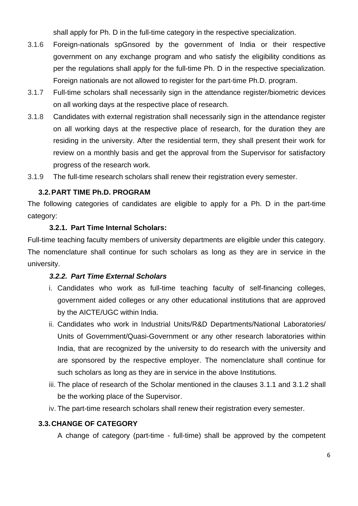shall apply for Ph. D in the full-time category in the respective specialization.

- 3.1.6 Foreign-nationals spGnsored by the government of India or their respective government on any exchange program and who satisfy the eligibility conditions as per the regulations shall apply for the full-time Ph. D in the respective specialization. Foreign nationals are not allowed to register for the part-time Ph.D. program.
- 3.1.7 Full-time scholars shall necessarily sign in the attendance register/biometric devices on all working days at the respective place of research.
- 3.1.8 Candidates with external registration shall necessarily sign in the attendance register on all working days at the respective place of research, for the duration they are residing in the university. After the residential term, they shall present their work for review on a monthly basis and get the approval from the Supervisor for satisfactory progress of the research work.
- <span id="page-5-0"></span>3.1.9 The full-time research scholars shall renew their registration every semester.

### **3.2.PART TIME Ph.D. PROGRAM**

The following categories of candidates are eligible to apply for a Ph. D in the part-time category:

### **3.2.1. Part Time Internal Scholars:**

Full-time teaching faculty members of university departments are eligible under this category. The nomenclature shall continue for such scholars as long as they are in service in the university.

#### *3.2.2. Part Time External Scholars*

- i. Candidates who work as full-time teaching faculty of self-financing colleges, government aided colleges or any other educational institutions that are approved by the AICTE/UGC within India.
- ii. Candidates who work in Industrial Units/R&D Departments/National Laboratories/ Units of Government/Quasi-Government or any other research laboratories within India, that are recognized by the university to do research with the university and are sponsored by the respective employer. The nomenclature shall continue for such scholars as long as they are in service in the above Institutions.
- iii. The place of research of the Scholar mentioned in the clauses 3.1.1 and 3.1.2 shall be the working place of the Supervisor.
- iv. The part-time research scholars shall renew their registration every semester.

#### <span id="page-5-1"></span>**3.3.CHANGE OF CATEGORY**

A change of category (part-time - full-time) shall be approved by the competent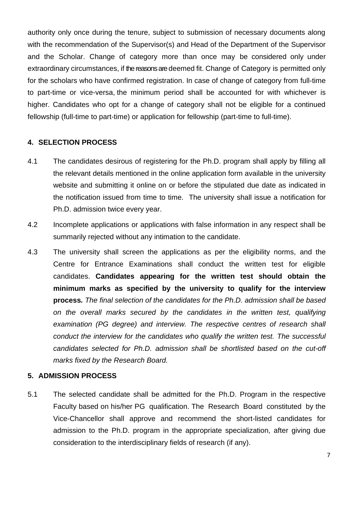authority only once during the tenure, subject to submission of necessary documents along with the recommendation of the Supervisor(s) and Head of the Department of the Supervisor and the Scholar. Change of category more than once may be considered only under extraordinary circumstances, if the reasons are deemed fit. Change of Category is permitted only for the scholars who have confirmed registration. In case of change of category from full-time to part-time or vice-versa, the minimum period shall be accounted for with whichever is higher. Candidates who opt for a change of category shall not be eligible for a continued fellowship (full-time to part-time) or application for fellowship (part-time to full-time).

#### <span id="page-6-0"></span>**4. SELECTION PROCESS**

- 4.1 The candidates desirous of registering for the Ph.D. program shall apply by filling all the relevant details mentioned in the online application form available in the university website and submitting it online on or before the stipulated due date as indicated in the notification issued from time to time. The university shall issue a notification for Ph.D. admission twice every year.
- 4.2 Incomplete applications or applications with false information in any respect shall be summarily rejected without any intimation to the candidate.
- 4.3 The university shall screen the applications as per the eligibility norms, and the Centre for Entrance Examinations shall conduct the written test for eligible candidates. **Candidates appearing for the written test should obtain the minimum marks as specified by the university to qualify for the interview process***. The final selection of the candidates for the Ph.D. admission shall be based on the overall marks secured by the candidates in the written test, qualifying examination (PG degree) and interview. The respective centres of research shall conduct the interview for the candidates who qualify the written test. The successful candidates selected for Ph.D. admission shall be shortlisted based on the cut-off marks fixed by the Research Board.*

#### <span id="page-6-1"></span>**5. ADMISSION PROCESS**

5.1 The selected candidate shall be admitted for the Ph.D. Program in the respective Faculty based on his/her PG qualification. The Research Board constituted by the Vice-Chancellor shall approve and recommend the short-listed candidates for admission to the Ph.D. program in the appropriate specialization, after giving due consideration to the interdisciplinary fields of research (if any).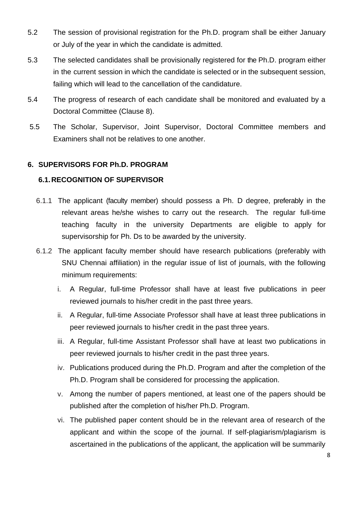- 5.2 The session of provisional registration for the Ph.D. program shall be either January or July of the year in which the candidate is admitted.
- 5.3 The selected candidates shall be provisionally registered for the Ph.D. program either in the current session in which the candidate is selected or in the subsequent session, failing which will lead to the cancellation of the candidature.
- 5.4 The progress of research of each candidate shall be monitored and evaluated by a Doctoral Committee (Clause 8).
- 5.5 The Scholar, Supervisor, Joint Supervisor, Doctoral Committee members and Examiners shall not be relatives to one another.

#### <span id="page-7-1"></span><span id="page-7-0"></span>**6. SUPERVISORS FOR Ph.D. PROGRAM**

#### **6.1.RECOGNITION OF SUPERVISOR**

- 6.1.1 The applicant (faculty member) should possess a Ph. D degree, preferably in the relevant areas he/she wishes to carry out the research. The regular full-time teaching faculty in the university Departments are eligible to apply for supervisorship for Ph. Ds to be awarded by the university.
- 6.1.2 The applicant faculty member should have research publications (preferably with SNU Chennai affiliation) in the regular issue of list of journals, with the following minimum requirements:
	- i. A Regular, full-time Professor shall have at least five publications in peer reviewed journals to his/her credit in the past three years.
	- ii. A Regular, full-time Associate Professor shall have at least three publications in peer reviewed journals to his/her credit in the past three years.
	- iii. A Regular, full-time Assistant Professor shall have at least two publications in peer reviewed journals to his/her credit in the past three years.
	- iv. Publications produced during the Ph.D. Program and after the completion of the Ph.D. Program shall be considered for processing the application.
	- v. Among the number of papers mentioned, at least one of the papers should be published after the completion of his/her Ph.D. Program.
	- vi. The published paper content should be in the relevant area of research of the applicant and within the scope of the journal. If self-plagiarism/plagiarism is ascertained in the publications of the applicant, the application will be summarily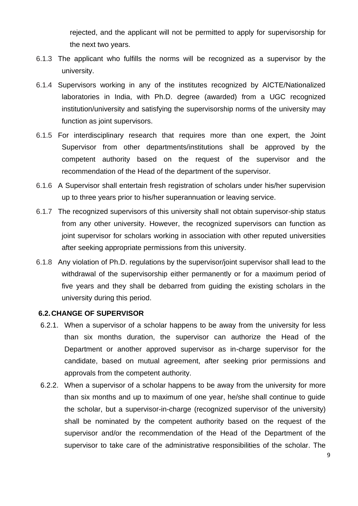rejected, and the applicant will not be permitted to apply for supervisorship for the next two years.

- 6.1.3 The applicant who fulfills the norms will be recognized as a supervisor by the university.
- 6.1.4 Supervisors working in any of the institutes recognized by AICTE/Nationalized laboratories in India, with Ph.D. degree (awarded) from a UGC recognized institution/university and satisfying the supervisorship norms of the university may function as joint supervisors.
- 6.1.5 For interdisciplinary research that requires more than one expert, the Joint Supervisor from other departments/institutions shall be approved by the competent authority based on the request of the supervisor and the recommendation of the Head of the department of the supervisor.
- 6.1.6 A Supervisor shall entertain fresh registration of scholars under his/her supervision up to three years prior to his/her superannuation or leaving service.
- 6.1.7 The recognized supervisors of this university shall not obtain supervisor-ship status from any other university. However, the recognized supervisors can function as joint supervisor for scholars working in association with other reputed universities after seeking appropriate permissions from this university.
- 6.1.8 Any violation of Ph.D. regulations by the supervisor/joint supervisor shall lead to the withdrawal of the supervisorship either permanently or for a maximum period of five years and they shall be debarred from guiding the existing scholars in the university during this period.

#### <span id="page-8-0"></span>**6.2.CHANGE OF SUPERVISOR**

- 6.2.1. When a supervisor of a scholar happens to be away from the university for less than six months duration, the supervisor can authorize the Head of the Department or another approved supervisor as in-charge supervisor for the candidate, based on mutual agreement, after seeking prior permissions and approvals from the competent authority.
- 6.2.2. When a supervisor of a scholar happens to be away from the university for more than six months and up to maximum of one year, he/she shall continue to guide the scholar, but a supervisor-in-charge (recognized supervisor of the university) shall be nominated by the competent authority based on the request of the supervisor and/or the recommendation of the Head of the Department of the supervisor to take care of the administrative responsibilities of the scholar. The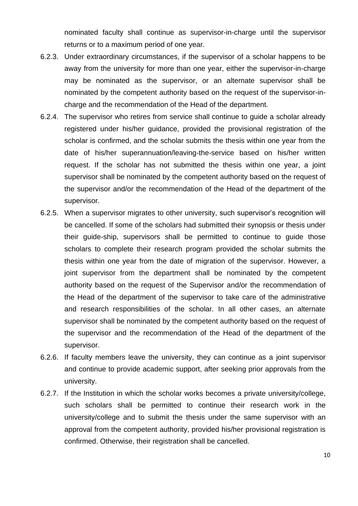nominated faculty shall continue as supervisor-in-charge until the supervisor returns or to a maximum period of one year.

- 6.2.3. Under extraordinary circumstances, if the supervisor of a scholar happens to be away from the university for more than one year, either the supervisor-in-charge may be nominated as the supervisor, or an alternate supervisor shall be nominated by the competent authority based on the request of the supervisor-incharge and the recommendation of the Head of the department.
- 6.2.4. The supervisor who retires from service shall continue to guide a scholar already registered under his/her guidance, provided the provisional registration of the scholar is confirmed, and the scholar submits the thesis within one year from the date of his/her superannuation/leaving-the-service based on his/her written request. If the scholar has not submitted the thesis within one year, a joint supervisor shall be nominated by the competent authority based on the request of the supervisor and/or the recommendation of the Head of the department of the supervisor.
- 6.2.5. When a supervisor migrates to other university, such supervisor's recognition will be cancelled. If some of the scholars had submitted their synopsis or thesis under their guide-ship, supervisors shall be permitted to continue to guide those scholars to complete their research program provided the scholar submits the thesis within one year from the date of migration of the supervisor. However, a joint supervisor from the department shall be nominated by the competent authority based on the request of the Supervisor and/or the recommendation of the Head of the department of the supervisor to take care of the administrative and research responsibilities of the scholar. In all other cases, an alternate supervisor shall be nominated by the competent authority based on the request of the supervisor and the recommendation of the Head of the department of the supervisor.
- 6.2.6. If faculty members leave the university, they can continue as a joint supervisor and continue to provide academic support, after seeking prior approvals from the university.
- 6.2.7. If the Institution in which the scholar works becomes a private university/college, such scholars shall be permitted to continue their research work in the university/college and to submit the thesis under the same supervisor with an approval from the competent authority, provided his/her provisional registration is confirmed. Otherwise, their registration shall be cancelled.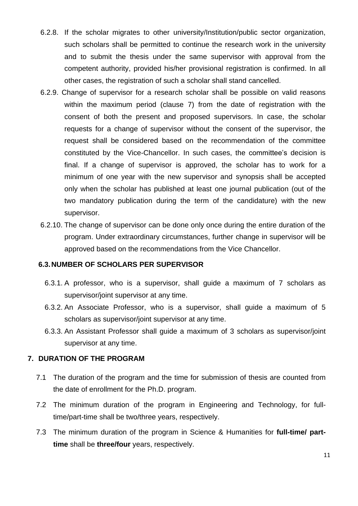- 6.2.8. If the scholar migrates to other university/Institution/public sector organization, such scholars shall be permitted to continue the research work in the university and to submit the thesis under the same supervisor with approval from the competent authority, provided his/her provisional registration is confirmed. In all other cases, the registration of such a scholar shall stand cancelled.
- 6.2.9. Change of supervisor for a research scholar shall be possible on valid reasons within the maximum period (clause 7) from the date of registration with the consent of both the present and proposed supervisors. In case, the scholar requests for a change of supervisor without the consent of the supervisor, the request shall be considered based on the recommendation of the committee constituted by the Vice-Chancellor. In such cases, the committee's decision is final. If a change of supervisor is approved, the scholar has to work for a minimum of one year with the new supervisor and synopsis shall be accepted only when the scholar has published at least one journal publication (out of the two mandatory publication during the term of the candidature) with the new supervisor.
- 6.2.10. The change of supervisor can be done only once during the entire duration of the program. Under extraordinary circumstances, further change in supervisor will be approved based on the recommendations from the Vice Chancellor.

#### <span id="page-10-0"></span>**6.3.NUMBER OF SCHOLARS PER SUPERVISOR**

- 6.3.1. A professor, who is a supervisor, shall guide a maximum of 7 scholars as supervisor/joint supervisor at any time.
- 6.3.2. An Associate Professor, who is a supervisor, shall guide a maximum of 5 scholars as supervisor/joint supervisor at any time.
- 6.3.3. An Assistant Professor shall guide a maximum of 3 scholars as supervisor/joint supervisor at any time.

#### <span id="page-10-1"></span>**7. DURATION OF THE PROGRAM**

- 7.1 The duration of the program and the time for submission of thesis are counted from the date of enrollment for the Ph.D. program.
- 7.2 The minimum duration of the program in Engineering and Technology, for fulltime/part-time shall be two/three years, respectively.
- 7.3 The minimum duration of the program in Science & Humanities for **full-time/ parttime** shall be **three/four** years, respectively.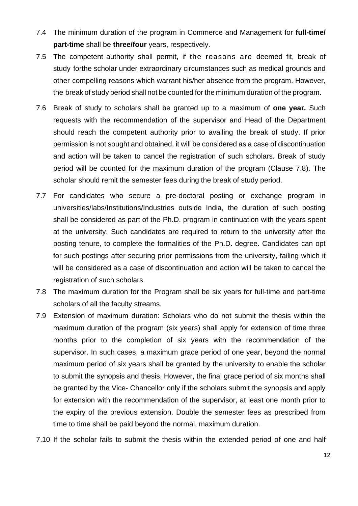- 7.4 The minimum duration of the program in Commerce and Management for **full-time/ part-time** shall be **three/four** years, respectively.
- 7.5 The competent authority shall permit, if the reasons are deemed fit, break of study forthe scholar under extraordinary circumstances such as medical grounds and other compelling reasons which warrant his/her absence from the program. However, the break of study period shall not be counted for the minimum duration of the program.
- 7.6 Break of study to scholars shall be granted up to a maximum of **one year.** Such requests with the recommendation of the supervisor and Head of the Department should reach the competent authority prior to availing the break of study. If prior permission is not sought and obtained, it will be considered as a case of discontinuation and action will be taken to cancel the registration of such scholars. Break of study period will be counted for the maximum duration of the program (Clause 7.8). The scholar should remit the semester fees during the break of study period.
- 7.7 For candidates who secure a pre-doctoral posting or exchange program in universities/labs/Institutions/Industries outside India, the duration of such posting shall be considered as part of the Ph.D. program in continuation with the years spent at the university. Such candidates are required to return to the university after the posting tenure, to complete the formalities of the Ph.D. degree. Candidates can opt for such postings after securing prior permissions from the university, failing which it will be considered as a case of discontinuation and action will be taken to cancel the registration of such scholars.
- 7.8 The maximum duration for the Program shall be six years for full-time and part-time scholars of all the faculty streams.
- 7.9 Extension of maximum duration: Scholars who do not submit the thesis within the maximum duration of the program (six years) shall apply for extension of time three months prior to the completion of six years with the recommendation of the supervisor. In such cases, a maximum grace period of one year, beyond the normal maximum period of six years shall be granted by the university to enable the scholar to submit the synopsis and thesis. However, the final grace period of six months shall be granted by the Vice- Chancellor only if the scholars submit the synopsis and apply for extension with the recommendation of the supervisor, at least one month prior to the expiry of the previous extension. Double the semester fees as prescribed from time to time shall be paid beyond the normal, maximum duration.
- 7.10 If the scholar fails to submit the thesis within the extended period of one and half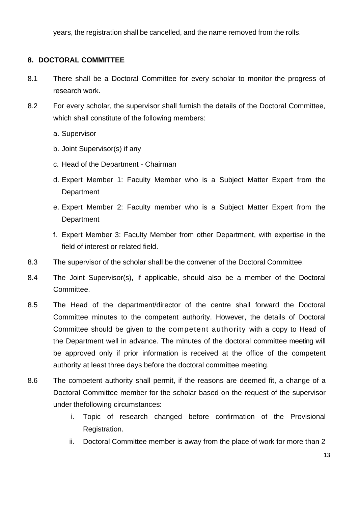years, the registration shall be cancelled, and the name removed from the rolls.

#### <span id="page-12-0"></span>**8. DOCTORAL COMMITTEE**

- 8.1 There shall be a Doctoral Committee for every scholar to monitor the progress of research work.
- 8.2 For every scholar, the supervisor shall furnish the details of the Doctoral Committee, which shall constitute of the following members:
	- a. Supervisor
	- b. Joint Supervisor(s) if any
	- c. Head of the Department Chairman
	- d. Expert Member 1: Faculty Member who is a Subject Matter Expert from the **Department**
	- e. Expert Member 2: Faculty member who is a Subject Matter Expert from the **Department**
	- f. Expert Member 3: Faculty Member from other Department, with expertise in the field of interest or related field.
- 8.3 The supervisor of the scholar shall be the convener of the Doctoral Committee.
- 8.4 The Joint Supervisor(s), if applicable, should also be a member of the Doctoral Committee.
- 8.5 The Head of the department/director of the centre shall forward the Doctoral Committee minutes to the competent authority. However, the details of Doctoral Committee should be given to the competent authority with a copy to Head of the Department well in advance. The minutes of the doctoral committee meeting will be approved only if prior information is received at the office of the competent authority at least three days before the doctoral committee meeting.
- 8.6 The competent authority shall permit, if the reasons are deemed fit, a change of a Doctoral Committee member for the scholar based on the request of the supervisor under thefollowing circumstances:
	- i. Topic of research changed before confirmation of the Provisional Registration.
	- ii. Doctoral Committee member is away from the place of work for more than 2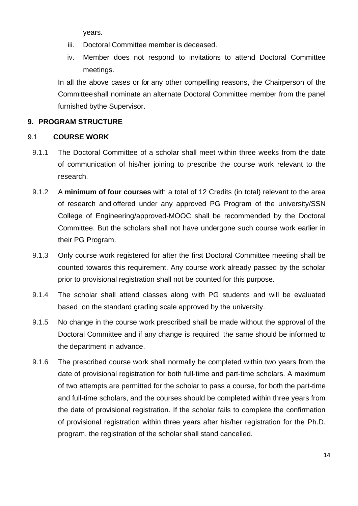years.

- iii. Doctoral Committee member is deceased.
- iv. Member does not respond to invitations to attend Doctoral Committee meetings.

In all the above cases or for any other compelling reasons, the Chairperson of the Committeeshall nominate an alternate Doctoral Committee member from the panel furnished bythe Supervisor.

### <span id="page-13-0"></span>**9. PROGRAM STRUCTURE**

#### 9.1 **COURSE WORK**

- 9.1.1 The Doctoral Committee of a scholar shall meet within three weeks from the date of communication of his/her joining to prescribe the course work relevant to the research.
- 9.1.2 A **minimum of four courses** with a total of 12 Credits (in total) relevant to the area of research and offered under any approved PG Program of the university/SSN College of Engineering/approved-MOOC shall be recommended by the Doctoral Committee. But the scholars shall not have undergone such course work earlier in their PG Program.
- 9.1.3 Only course work registered for after the first Doctoral Committee meeting shall be counted towards this requirement. Any course work already passed by the scholar prior to provisional registration shall not be counted for this purpose.
- 9.1.4 The scholar shall attend classes along with PG students and will be evaluated based on the standard grading scale approved by the university.
- 9.1.5 No change in the course work prescribed shall be made without the approval of the Doctoral Committee and if any change is required, the same should be informed to the department in advance.
- 9.1.6 The prescribed course work shall normally be completed within two years from the date of provisional registration for both full-time and part-time scholars. A maximum of two attempts are permitted for the scholar to pass a course, for both the part-time and full-time scholars, and the courses should be completed within three years from the date of provisional registration. If the scholar fails to complete the confirmation of provisional registration within three years after his/her registration for the Ph.D. program, the registration of the scholar shall stand cancelled.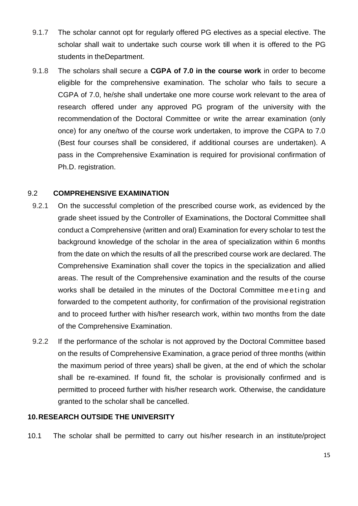- 9.1.7 The scholar cannot opt for regularly offered PG electives as a special elective. The scholar shall wait to undertake such course work till when it is offered to the PG students in theDepartment.
- 9.1.8 The scholars shall secure a **CGPA of 7.0 in the course work** in order to become eligible for the comprehensive examination. The scholar who fails to secure a CGPA of 7.0, he/she shall undertake one more course work relevant to the area of research offered under any approved PG program of the university with the recommendation of the Doctoral Committee or write the arrear examination (only once) for any one/two of the course work undertaken, to improve the CGPA to 7.0 (Best four courses shall be considered, if additional courses are undertaken). A pass in the Comprehensive Examination is required for provisional confirmation of Ph.D. registration.

#### 9.2 **COMPREHENSIVE EXAMINATION**

- 9.2.1 On the successful completion of the prescribed course work, as evidenced by the grade sheet issued by the Controller of Examinations, the Doctoral Committee shall conduct a Comprehensive (written and oral) Examination for every scholar to test the background knowledge of the scholar in the area of specialization within 6 months from the date on which the results of all the prescribed course work are declared. The Comprehensive Examination shall cover the topics in the specialization and allied areas. The result of the Comprehensive examination and the results of the course works shall be detailed in the minutes of the Doctoral Committee meeting and forwarded to the competent authority, for confirmation of the provisional registration and to proceed further with his/her research work, within two months from the date of the Comprehensive Examination.
- 9.2.2 If the performance of the scholar is not approved by the Doctoral Committee based on the results of Comprehensive Examination, a grace period of three months (within the maximum period of three years) shall be given, at the end of which the scholar shall be re-examined. If found fit, the scholar is provisionally confirmed and is permitted to proceed further with his/her research work. Otherwise, the candidature granted to the scholar shall be cancelled.

#### <span id="page-14-0"></span>**10.RESEARCH OUTSIDE THE UNIVERSITY**

10.1 The scholar shall be permitted to carry out his/her research in an institute/project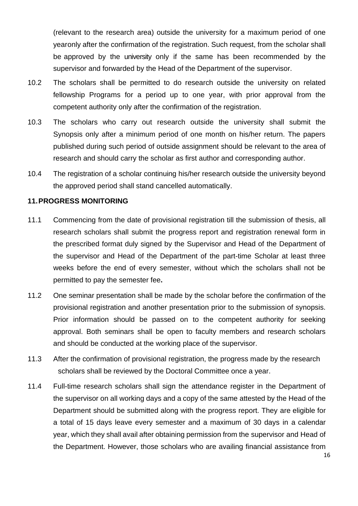(relevant to the research area) outside the university for a maximum period of one yearonly after the confirmation of the registration. Such request, from the scholar shall be approved by the university only if the same has been recommended by the supervisor and forwarded by the Head of the Department of the supervisor.

- 10.2 The scholars shall be permitted to do research outside the university on related fellowship Programs for a period up to one year, with prior approval from the competent authority only after the confirmation of the registration.
- 10.3 The scholars who carry out research outside the university shall submit the Synopsis only after a minimum period of one month on his/her return. The papers published during such period of outside assignment should be relevant to the area of research and should carry the scholar as first author and corresponding author.
- 10.4 The registration of a scholar continuing his/her research outside the university beyond the approved period shall stand cancelled automatically.

#### <span id="page-15-0"></span>**11.PROGRESS MONITORING**

- 11.1 Commencing from the date of provisional registration till the submission of thesis, all research scholars shall submit the progress report and registration renewal form in the prescribed format duly signed by the Supervisor and Head of the Department of the supervisor and Head of the Department of the part-time Scholar at least three weeks before the end of every semester, without which the scholars shall not be permitted to pay the semester fee**.**
- 11.2 One seminar presentation shall be made by the scholar before the confirmation of the provisional registration and another presentation prior to the submission of synopsis. Prior information should be passed on to the competent authority for seeking approval. Both seminars shall be open to faculty members and research scholars and should be conducted at the working place of the supervisor.
- 11.3 After the confirmation of provisional registration, the progress made by the research scholars shall be reviewed by the Doctoral Committee once a year.
- 11.4 Full-time research scholars shall sign the attendance register in the Department of the supervisor on all working days and a copy of the same attested by the Head of the Department should be submitted along with the progress report. They are eligible for a total of 15 days leave every semester and a maximum of 30 days in a calendar year, which they shall avail after obtaining permission from the supervisor and Head of the Department. However, those scholars who are availing financial assistance from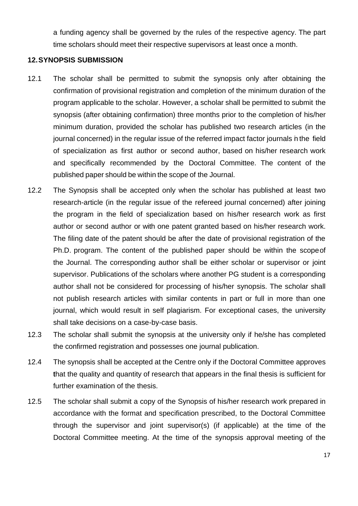a funding agency shall be governed by the rules of the respective agency. The part time scholars should meet their respective supervisors at least once a month.

#### <span id="page-16-0"></span>**12.SYNOPSIS SUBMISSION**

- 12.1 The scholar shall be permitted to submit the synopsis only after obtaining the confirmation of provisional registration and completion of the minimum duration of the program applicable to the scholar. However, a scholar shall be permitted to submit the synopsis (after obtaining confirmation) three months prior to the completion of his/her minimum duration, provided the scholar has published two research articles (in the journal concerned) in the regular issue of the referred impact factor journals in the field of specialization as first author or second author, based on his/her research work and specifically recommended by the Doctoral Committee. The content of the published paper should be within the scope of the Journal.
- 12.2 The Synopsis shall be accepted only when the scholar has published at least two research-article (in the regular issue of the refereed journal concerned) after joining the program in the field of specialization based on his/her research work as first author or second author or with one patent granted based on his/her research work. The filing date of the patent should be after the date of provisional registration of the Ph.D. program. The content of the published paper should be within the scopeof the Journal. The corresponding author shall be either scholar or supervisor or joint supervisor. Publications of the scholars where another PG student is a corresponding author shall not be considered for processing of his/her synopsis. The scholar shall not publish research articles with similar contents in part or full in more than one journal, which would result in self plagiarism. For exceptional cases, the university shall take decisions on a case-by-case basis.
- 12.3 The scholar shall submit the synopsis at the university only if he/she has completed the confirmed registration and possesses one journal publication.
- 12.4 The synopsis shall be accepted at the Centre only if the Doctoral Committee approves that the quality and quantity of research that appears in the final thesis is sufficient for further examination of the thesis.
- 12.5 The scholar shall submit a copy of the Synopsis of his/her research work prepared in accordance with the format and specification prescribed, to the Doctoral Committee through the supervisor and joint supervisor(s) (if applicable) at the time of the Doctoral Committee meeting. At the time of the synopsis approval meeting of the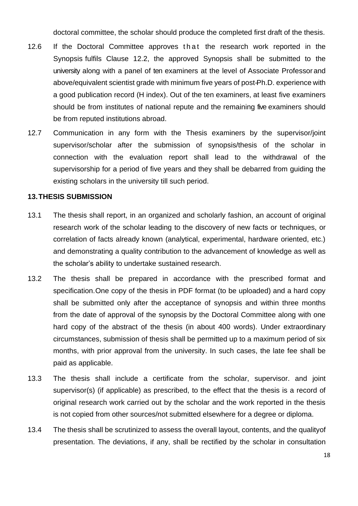doctoral committee, the scholar should produce the completed first draft of the thesis.

- 12.6 If the Doctoral Committee approves that the research work reported in the Synopsis fulfils Clause 12.2, the approved Synopsis shall be submitted to the university along with a panel of ten examiners at the level of Associate Professor and above/equivalent scientist grade with minimum five years of post-Ph.D. experience with a good publication record (H index). Out of the ten examiners, at least five examiners should be from institutes of national repute and the remaining five examiners should be from reputed institutions abroad.
- 12.7 Communication in any form with the Thesis examiners by the supervisor/joint supervisor/scholar after the submission of synopsis/thesis of the scholar in connection with the evaluation report shall lead to the withdrawal of the supervisorship for a period of five years and they shall be debarred from guiding the existing scholars in the university till such period.

#### <span id="page-17-0"></span>**13.THESIS SUBMISSION**

- 13.1 The thesis shall report, in an organized and scholarly fashion, an account of original research work of the scholar leading to the discovery of new facts or techniques, or correlation of facts already known (analytical, experimental, hardware oriented, etc.) and demonstrating a quality contribution to the advancement of knowledge as well as the scholar's ability to undertake sustained research.
- 13.2 The thesis shall be prepared in accordance with the prescribed format and specification.One copy of the thesis in PDF format (to be uploaded) and a hard copy shall be submitted only after the acceptance of synopsis and within three months from the date of approval of the synopsis by the Doctoral Committee along with one hard copy of the abstract of the thesis (in about 400 words). Under extraordinary circumstances, submission of thesis shall be permitted up to a maximum period of six months, with prior approval from the university. In such cases, the late fee shall be paid as applicable.
- 13.3 The thesis shall include a certificate from the scholar, supervisor. and joint supervisor(s) (if applicable) as prescribed, to the effect that the thesis is a record of original research work carried out by the scholar and the work reported in the thesis is not copied from other sources/not submitted elsewhere for a degree or diploma.
- 13.4 The thesis shall be scrutinized to assess the overall layout, contents, and the qualityof presentation. The deviations, if any, shall be rectified by the scholar in consultation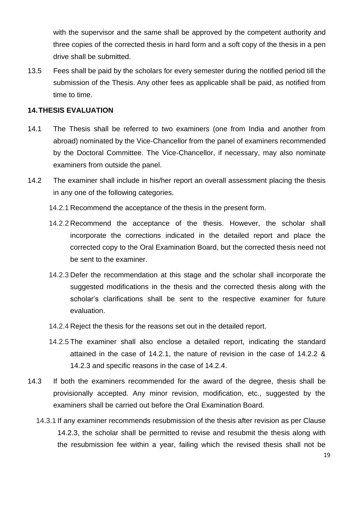with the supervisor and the same shall be approved by the competent authority and three copies of the corrected thesis in hard form and a soft copy of the thesis in a pen drive shall be submitted.

13.5 Fees shall be paid by the scholars for every semester during the notified period till the submission of the Thesis. Any other fees as applicable shall be paid, as notified from time to time.

### <span id="page-18-0"></span>**14.THESIS EVALUATION**

- 14.1 The Thesis shall be referred to two examiners (one from India and another from abroad) nominated by the Vice-Chancellor from the panel of examiners recommended by the Doctoral Committee. The Vice-Chancellor, if necessary, may also nominate examiners from outside the panel.
- 14.2 The examiner shall include in his/her report an overall assessment placing the thesis in any one of the following categories.
	- 14.2.1 Recommend the acceptance of the thesis in the present form.
	- 14.2.2 Recommend the acceptance of the thesis. However, the scholar shall incorporate the corrections indicated in the detailed report and place the corrected copy to the Oral Examination Board, but the corrected thesis need not be sent to the examiner.
	- 14.2.3 Defer the recommendation at this stage and the scholar shall incorporate the suggested modifications in the thesis and the corrected thesis along with the scholar's clarifications shall be sent to the respective examiner for future evaluation.
	- 14.2.4 Reject the thesis for the reasons set out in the detailed report.
	- 14.2.5 The examiner shall also enclose a detailed report, indicating the standard attained in the case of 14.2.1, the nature of revision in the case of 14.2.2 & 14.2.3 and specific reasons in the case of 14.2.4.
- 14.3 If both the examiners recommended for the award of the degree, thesis shall be provisionally accepted. Any minor revision, modification, etc., suggested by the examiners shall be carried out before the Oral Examination Board.
	- 14.3.1 If any examiner recommends resubmission of the thesis after revision as per Clause 14.2.3, the scholar shall be permitted to revise and resubmit the thesis along with the resubmission fee within a year, failing which the revised thesis shall not be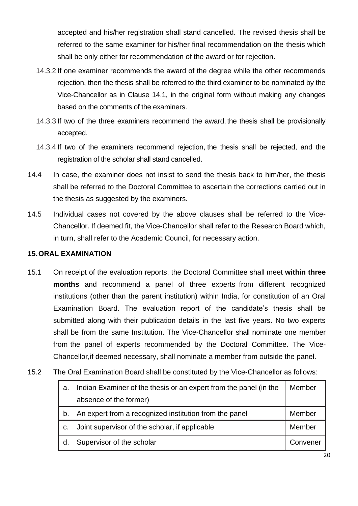accepted and his/her registration shall stand cancelled. The revised thesis shall be referred to the same examiner for his/her final recommendation on the thesis which shall be only either for recommendation of the award or for rejection.

- 14.3.2 If one examiner recommends the award of the degree while the other recommends rejection, then the thesis shall be referred to the third examiner to be nominated by the Vice-Chancellor as in Clause 14.1, in the original form without making any changes based on the comments of the examiners.
- 14.3.3 If two of the three examiners recommend the award, the thesis shall be provisionally accepted.
- 14.3.4 If two of the examiners recommend rejection, the thesis shall be rejected, and the registration of the scholar shall stand cancelled.
- 14.4 In case, the examiner does not insist to send the thesis back to him/her, the thesis shall be referred to the Doctoral Committee to ascertain the corrections carried out in the thesis as suggested by the examiners.
- 14.5 Individual cases not covered by the above clauses shall be referred to the Vice-Chancellor. If deemed fit, the Vice-Chancellor shall refer to the Research Board which, in turn, shall refer to the Academic Council, for necessary action.

#### <span id="page-19-0"></span>**15.ORAL EXAMINATION**

- 15.1 On receipt of the evaluation reports, the Doctoral Committee shall meet **within three months** and recommend a panel of three experts from different recognized institutions (other than the parent institution) within India, for constitution of an Oral Examination Board. The evaluation report of the candidate's thesis shall be submitted along with their publication details in the last five years. No two experts shall be from the same Institution. The Vice-Chancellor shall nominate one member from the panel of experts recommended by the Doctoral Committee. The Vice-Chancellor,if deemed necessary, shall nominate a member from outside the panel.
- 15.2 The Oral Examination Board shall be constituted by the Vice-Chancellor as follows:

| a.             | Indian Examiner of the thesis or an expert from the panel (in the | Member   |
|----------------|-------------------------------------------------------------------|----------|
|                | absence of the former)                                            |          |
| b.             | An expert from a recognized institution from the panel            | Member   |
| C <sub>1</sub> | Joint supervisor of the scholar, if applicable                    | Member   |
| d.             | Supervisor of the scholar                                         | Convener |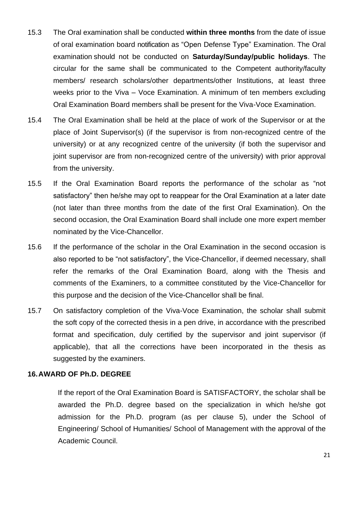- 15.3 The Oral examination shall be conducted **within three months** from the date of issue of oral examination board notification as "Open Defense Type" Examination. The Oral examination should not be conducted on **Saturday/Sunday/public holidays**. The circular for the same shall be communicated to the Competent authority/faculty members/ research scholars/other departments/other Institutions, at least three weeks prior to the Viva – Voce Examination. A minimum of ten members excluding Oral Examination Board members shall be present for the Viva-Voce Examination.
- 15.4 The Oral Examination shall be held at the place of work of the Supervisor or at the place of Joint Supervisor(s) (if the supervisor is from non-recognized centre of the university) or at any recognized centre of the university (if both the supervisor and joint supervisor are from non-recognized centre of the university) with prior approval from the university.
- 15.5 If the Oral Examination Board reports the performance of the scholar as "not satisfactory" then he/she may opt to reappear for the Oral Examination at a later date (not later than three months from the date of the first Oral Examination). On the second occasion, the Oral Examination Board shall include one more expert member nominated by the Vice-Chancellor.
- 15.6 If the performance of the scholar in the Oral Examination in the second occasion is also reported to be "not satisfactory", the Vice-Chancellor, if deemed necessary, shall refer the remarks of the Oral Examination Board, along with the Thesis and comments of the Examiners, to a committee constituted by the Vice-Chancellor for this purpose and the decision of the Vice-Chancellor shall be final.
- 15.7 On satisfactory completion of the Viva-Voce Examination, the scholar shall submit the soft copy of the corrected thesis in a pen drive, in accordance with the prescribed format and specification, duly certified by the supervisor and joint supervisor (if applicable), that all the corrections have been incorporated in the thesis as suggested by the examiners.

#### <span id="page-20-0"></span>**16.AWARD OF Ph.D. DEGREE**

If the report of the Oral Examination Board is SATISFACTORY, the scholar shall be awarded the Ph.D. degree based on the specialization in which he/she got admission for the Ph.D. program (as per clause 5), under the School of Engineering/ School of Humanities/ School of Management with the approval of the Academic Council.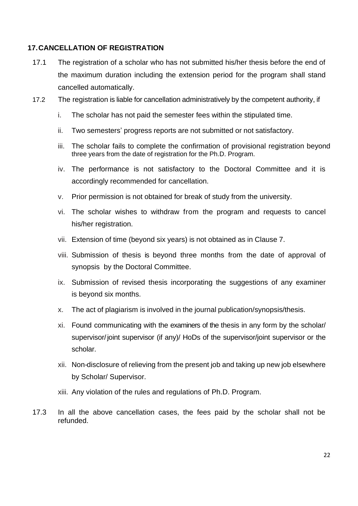#### <span id="page-21-0"></span>**17.CANCELLATION OF REGISTRATION**

- 17.1 The registration of a scholar who has not submitted his/her thesis before the end of the maximum duration including the extension period for the program shall stand cancelled automatically.
- 17.2 The registration is liable for cancellation administratively by the competent authority, if
	- i. The scholar has not paid the semester fees within the stipulated time.
	- ii. Two semesters' progress reports are not submitted or not satisfactory.
	- iii. The scholar fails to complete the confirmation of provisional registration beyond three years from the date of registration for the Ph.D. Program.
	- iv. The performance is not satisfactory to the Doctoral Committee and it is accordingly recommended for cancellation.
	- v. Prior permission is not obtained for break of study from the university.
	- vi. The scholar wishes to withdraw from the program and requests to cancel his/her registration.
	- vii. Extension of time (beyond six years) is not obtained as in Clause 7.
	- viii. Submission of thesis is beyond three months from the date of approval of synopsis by the Doctoral Committee.
	- ix. Submission of revised thesis incorporating the suggestions of any examiner is beyond six months.
	- x. The act of plagiarism is involved in the journal publication/synopsis/thesis.
	- xi. Found communicating with the examiners of the thesis in any form by the scholar/ supervisor/joint supervisor (if any)/ HoDs of the supervisor/joint supervisor or the scholar.
	- xii. Non-disclosure of relieving from the present job and taking up new job elsewhere by Scholar/ Supervisor.
	- xiii. Any violation of the rules and regulations of Ph.D. Program.
- 17.3 In all the above cancellation cases, the fees paid by the scholar shall not be refunded.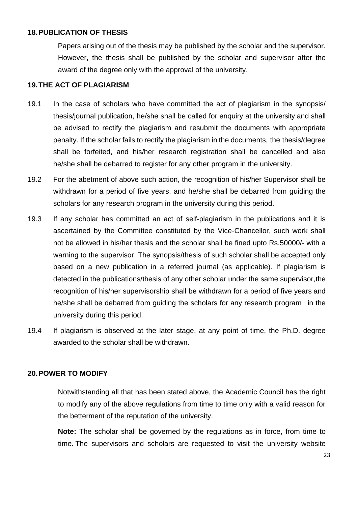#### <span id="page-22-0"></span>**18.PUBLICATION OF THESIS**

Papers arising out of the thesis may be published by the scholar and the supervisor. However, the thesis shall be published by the scholar and supervisor after the award of the degree only with the approval of the university.

#### <span id="page-22-1"></span>**19.THE ACT OF PLAGIARISM**

- 19.1 In the case of scholars who have committed the act of plagiarism in the synopsis/ thesis/journal publication, he/she shall be called for enquiry at the university and shall be advised to rectify the plagiarism and resubmit the documents with appropriate penalty. If the scholar fails to rectify the plagiarism in the documents, the thesis/degree shall be forfeited, and his/her research registration shall be cancelled and also he/she shall be debarred to register for any other program in the university.
- 19.2 For the abetment of above such action, the recognition of his/her Supervisor shall be withdrawn for a period of five years, and he/she shall be debarred from guiding the scholars for any research program in the university during this period.
- 19.3 If any scholar has committed an act of self-plagiarism in the publications and it is ascertained by the Committee constituted by the Vice-Chancellor, such work shall not be allowed in his/her thesis and the scholar shall be fined upto Rs.50000/- with a warning to the supervisor. The synopsis/thesis of such scholar shall be accepted only based on a new publication in a referred journal (as applicable). If plagiarism is detected in the publications/thesis of any other scholar under the same supervisor,the recognition of his/her supervisorship shall be withdrawn for a period of five years and he/she shall be debarred from guiding the scholars for any research program in the university during this period.
- 19.4 If plagiarism is observed at the later stage, at any point of time, the Ph.D. degree awarded to the scholar shall be withdrawn.

#### <span id="page-22-2"></span>**20.POWER TO MODIFY**

Notwithstanding all that has been stated above, the Academic Council has the right to modify any of the above regulations from time to time only with a valid reason for the betterment of the reputation of the university.

**Note:** The scholar shall be governed by the regulations as in force, from time to time. The supervisors and scholars are requested to visit the university website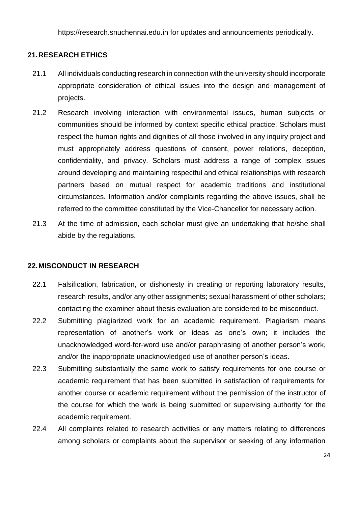https://research.snuchennai.edu.in for updates and announcements periodically.

#### <span id="page-23-0"></span>**21.RESEARCH ETHICS**

- 21.1 All individuals conducting research in connection with the university should incorporate appropriate consideration of ethical issues into the design and management of projects.
- 21.2 Research involving interaction with environmental issues, human subjects or communities should be informed by context specific ethical practice. Scholars must respect the human rights and dignities of all those involved in any inquiry project and must appropriately address questions of consent, power relations, deception, confidentiality, and privacy. Scholars must address a range of complex issues around developing and maintaining respectful and ethical relationships with research partners based on mutual respect for academic traditions and institutional circumstances. Information and/or complaints regarding the above issues, shall be referred to the committee constituted by the Vice-Chancellor for necessary action.
- 21.3 At the time of admission, each scholar must give an undertaking that he/she shall abide by the regulations.

#### <span id="page-23-1"></span>**22.MISCONDUCT IN RESEARCH**

- 22.1 Falsification, fabrication, or dishonesty in creating or reporting laboratory results, research results, and/or any other assignments; sexual harassment of other scholars; contacting the examiner about thesis evaluation are considered to be misconduct.
- 22.2 Submitting plagiarized work for an academic requirement. Plagiarism means representation of another's work or ideas as one's own; it includes the unacknowledged word-for-word use and/or paraphrasing of another person's work, and/or the inappropriate unacknowledged use of another person's ideas.
- 22.3 Submitting substantially the same work to satisfy requirements for one course or academic requirement that has been submitted in satisfaction of requirements for another course or academic requirement without the permission of the instructor of the course for which the work is being submitted or supervising authority for the academic requirement.
- 22.4 All complaints related to research activities or any matters relating to differences among scholars or complaints about the supervisor or seeking of any information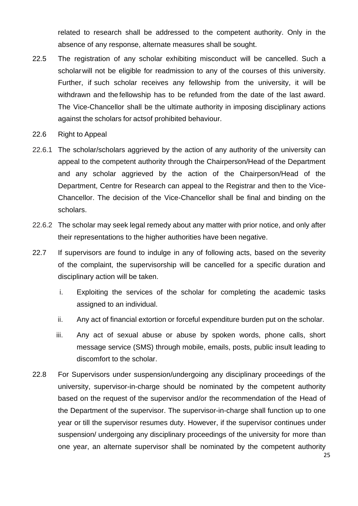related to research shall be addressed to the competent authority. Only in the absence of any response, alternate measures shall be sought.

- 22.5 The registration of any scholar exhibiting misconduct will be cancelled. Such a scholarwill not be eligible for readmission to any of the courses of this university. Further, if such scholar receives any fellowship from the university, it will be withdrawn and the fellowship has to be refunded from the date of the last award. The Vice-Chancellor shall be the ultimate authority in imposing disciplinary actions against the scholars for actsof prohibited behaviour.
- 22.6 Right to Appeal
- 22.6.1 The scholar/scholars aggrieved by the action of any authority of the university can appeal to the competent authority through the Chairperson/Head of the Department and any scholar aggrieved by the action of the Chairperson/Head of the Department, Centre for Research can appeal to the Registrar and then to the Vice-Chancellor. The decision of the Vice-Chancellor shall be final and binding on the scholars.
- 22.6.2 The scholar may seek legal remedy about any matter with prior notice, and only after their representations to the higher authorities have been negative.
- 22.7 If supervisors are found to indulge in any of following acts, based on the severity of the complaint, the supervisorship will be cancelled for a specific duration and disciplinary action will be taken.
	- i. Exploiting the services of the scholar for completing the academic tasks assigned to an individual.
	- ii. Any act of financial extortion or forceful expenditure burden put on the scholar.
	- iii. Any act of sexual abuse or abuse by spoken words, phone calls, short message service (SMS) through mobile, emails, posts, public insult leading to discomfort to the scholar.
- 22.8 For Supervisors under suspension/undergoing any disciplinary proceedings of the university, supervisor-in-charge should be nominated by the competent authority based on the request of the supervisor and/or the recommendation of the Head of the Department of the supervisor. The supervisor-in-charge shall function up to one year or till the supervisor resumes duty. However, if the supervisor continues under suspension/ undergoing any disciplinary proceedings of the university for more than one year, an alternate supervisor shall be nominated by the competent authority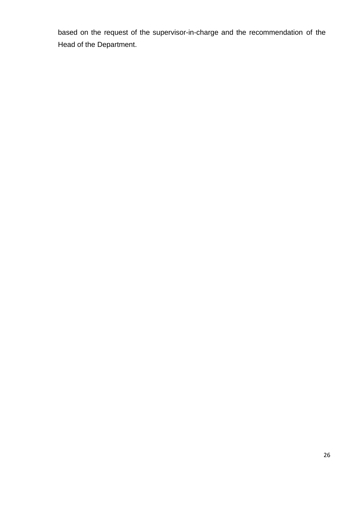based on the request of the supervisor-in-charge and the recommendation of the Head of the Department.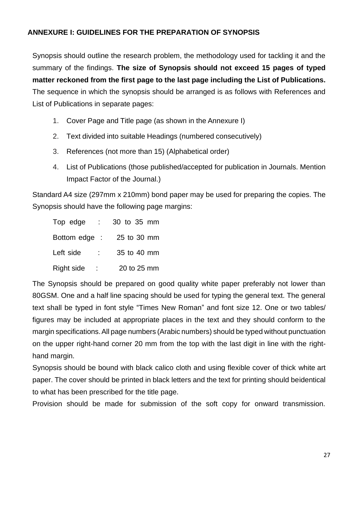### <span id="page-26-0"></span>**ANNEXURE I: GUIDELINES FOR THE PREPARATION OF SYNOPSIS**

Synopsis should outline the research problem, the methodology used for tackling it and the summary of the findings. **The size of Synopsis should not exceed 15 pages of typed matter reckoned from the first page to the last page including the List of Publications.** The sequence in which the synopsis should be arranged is as follows with References and List of Publications in separate pages:

- 1. Cover Page and Title page (as shown in the Annexure I)
- 2. Text divided into suitable Headings (numbered consecutively)
- 3. References (not more than 15) (Alphabetical order)
- 4. List of Publications (those published/accepted for publication in Journals. Mention Impact Factor of the Journal.)

Standard A4 size (297mm x 210mm) bond paper may be used for preparing the copies. The Synopsis should have the following page margins:

| Top edge<br>$\mathcal{L}^{\mathcal{L}}$ | 30 to 35 mm |
|-----------------------------------------|-------------|
| Bottom edge :                           | 25 to 30 mm |
| Left side                               | 35 to 40 mm |
| Right side                              | 20 to 25 mm |

The Synopsis should be prepared on good quality white paper preferably not lower than 80GSM. One and a half line spacing should be used for typing the general text. The general text shall be typed in font style "Times New Roman" and font size 12. One or two tables/ figures may be included at appropriate places in the text and they should conform to the margin specifications.All page numbers (Arabic numbers) should be typed without punctuation on the upper right-hand corner 20 mm from the top with the last digit in line with the righthand margin.

Synopsis should be bound with black calico cloth and using flexible cover of thick white art paper. The cover should be printed in black letters and the text for printing should beidentical to what has been prescribed for the title page.

Provision should be made for submission of the soft copy for onward transmission.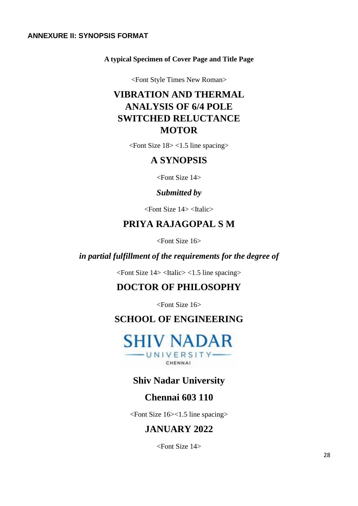#### <span id="page-27-0"></span>**ANNEXURE II: SYNOPSIS FORMAT**

#### **A typical Specimen of Cover Page and Title Page**

<Font Style Times New Roman>

# **VIBRATION AND THERMAL ANALYSIS OF 6/4 POLE SWITCHED RELUCTANCE MOTOR**

<Font Size 18> <1.5 line spacing>

### **A SYNOPSIS**

<Font Size 14>

### *Submitted by*

<Font Size 14> <Italic>

# **PRIYA RAJAGOPAL S M**

<Font Size 16>

### *in partial fulfillment of the requirements for the degree of*

 $\epsilon$ Font Size 14> $\epsilon$ Italic> $\epsilon$ 1.5 line spacing>

# **DOCTOR OF PHILOSOPHY**

<Font Size 16>

# **SCHOOL OF ENGINEERING**



# **Shiv Nadar University**

### **Chennai 603 110**

<Font Size 16><1.5 line spacing>

# **JANUARY 2022**

<Font Size 14>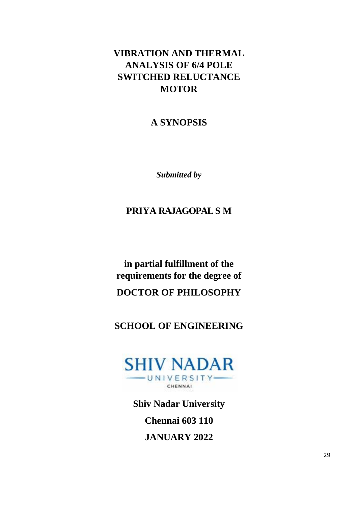# **VIBRATION AND THERMAL ANALYSIS OF 6/4 POLE SWITCHED RELUCTANCE MOTOR**

# **A SYNOPSIS**

*Submitted by*

# **PRIYA RAJAGOPALS M**

**in partial fulfillment of the requirements for the degree of DOCTOR OF PHILOSOPHY**

# **SCHOOL OF ENGINEERING**



**Shiv Nadar University** 

**Chennai 603 110**

**JANUARY 2022**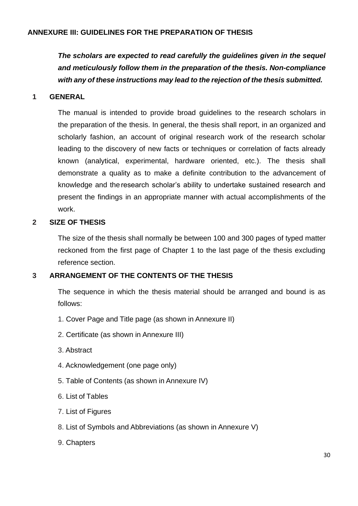#### <span id="page-29-0"></span>**ANNEXURE III: GUIDELINES FOR THE PREPARATION OF THESIS**

*The scholars are expected to read carefully the guidelines given in the sequel and meticulously follow them in the preparation of the thesis. Non-compliance with any of these instructions may lead to the rejection of the thesis submitted.*

#### **1 GENERAL**

The manual is intended to provide broad guidelines to the research scholars in the preparation of the thesis. In general, the thesis shall report, in an organized and scholarly fashion, an account of original research work of the research scholar leading to the discovery of new facts or techniques or correlation of facts already known (analytical, experimental, hardware oriented, etc.). The thesis shall demonstrate a quality as to make a definite contribution to the advancement of knowledge and the research scholar's ability to undertake sustained research and present the findings in an appropriate manner with actual accomplishments of the work.

#### **2 SIZE OF THESIS**

The size of the thesis shall normally be between 100 and 300 pages of typed matter reckoned from the first page of Chapter 1 to the last page of the thesis excluding reference section.

#### **3 ARRANGEMENT OF THE CONTENTS OF THE THESIS**

The sequence in which the thesis material should be arranged and bound is as follows:

- 1. Cover Page and Title page (as shown in Annexure II)
- 2. Certificate (as shown in Annexure III)
- 3. Abstract
- 4. Acknowledgement (one page only)
- 5. Table of Contents (as shown in Annexure IV)
- 6. List of Tables
- 7. List of Figures
- 8. List of Symbols and Abbreviations (as shown in Annexure V)
- 9. Chapters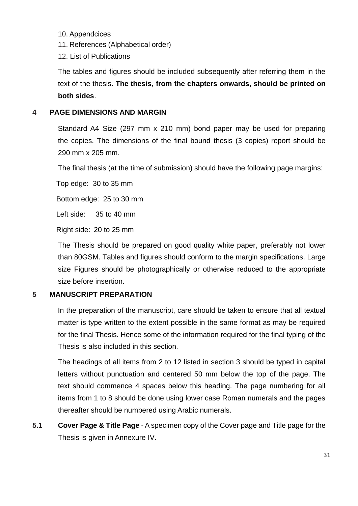- 10. Appendcices
- 11. References (Alphabetical order)
- 12. List of Publications

The tables and figures should be included subsequently after referring them in the text of the thesis. **The thesis, from the chapters onwards, should be printed on both sides**.

### **4 PAGE DIMENSIONS AND MARGIN**

Standard A4 Size (297 mm x 210 mm) bond paper may be used for preparing the copies. The dimensions of the final bound thesis (3 copies) report should be 290 mm x 205 mm.

The final thesis (at the time of submission) should have the following page margins:

Top edge: 30 to 35 mm

Bottom edge: 25 to 30 mm

Left side: 35 to 40 mm

Right side: 20 to 25 mm

The Thesis should be prepared on good quality white paper, preferably not lower than 80GSM. Tables and figures should conform to the margin specifications. Large size Figures should be photographically or otherwise reduced to the appropriate size before insertion.

### **5 MANUSCRIPT PREPARATION**

In the preparation of the manuscript, care should be taken to ensure that all textual matter is type written to the extent possible in the same format as may be required for the final Thesis. Hence some of the information required for the final typing of the Thesis is also included in this section.

The headings of all items from 2 to 12 listed in section 3 should be typed in capital letters without punctuation and centered 50 mm below the top of the page. The text should commence 4 spaces below this heading. The page numbering for all items from 1 to 8 should be done using lower case Roman numerals and the pages thereafter should be numbered using Arabic numerals.

**5.1 Cover Page & Title Page** - A specimen copy of the Cover page and Title page for the Thesis is given in Annexure IV.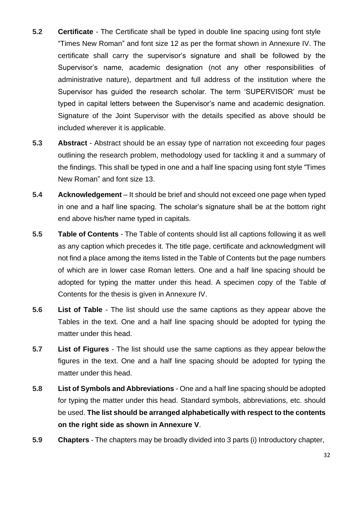- **5.2 Certificate** The Certificate shall be typed in double line spacing using font style "Times New Roman" and font size 12 as per the format shown in Annexure IV. The certificate shall carry the supervisor's signature and shall be followed by the Supervisor's name, academic designation (not any other responsibilities of administrative nature), department and full address of the institution where the Supervisor has guided the research scholar. The term 'SUPERVISOR' must be typed in capital letters between the Supervisor's name and academic designation. Signature of the Joint Supervisor with the details specified as above should be included wherever it is applicable.
- **5.3 Abstract**  Abstract should be an essay type of narration not exceeding four pages outlining the research problem, methodology used for tackling it and a summary of the findings. This shall be typed in one and a half line spacing using font style "Times New Roman" and font size 13.
- **5.4 Acknowledgement** It should be brief and should not exceed one page when typed in one and a half line spacing. The scholar's signature shall be at the bottom right end above his/her name typed in capitals.
- **5.5 Table of Contents** The Table of contents should list all captions following it as well as any caption which precedes it. The title page, certificate and acknowledgment will not find a place among the items listed in the Table of Contents but the page numbers of which are in lower case Roman letters. One and a half line spacing should be adopted for typing the matter under this head. A specimen copy of the Table of Contents for the thesis is given in Annexure IV.
- **5.6 List of Table**  The list should use the same captions as they appear above the Tables in the text. One and a half line spacing should be adopted for typing the matter under this head.
- **5.7 List of Figures** The list should use the same captions as they appear below the figures in the text. One and a half line spacing should be adopted for typing the matter under this head.
- **5.8 List of Symbols and Abbreviations** One and a half line spacing should be adopted for typing the matter under this head. Standard symbols, abbreviations, etc. should be used. **The list should be arranged alphabetically with respect to the contents on the right side as shown in Annexure V**.
- **5.9 Chapters** The chapters may be broadly divided into 3 parts (i) Introductory chapter,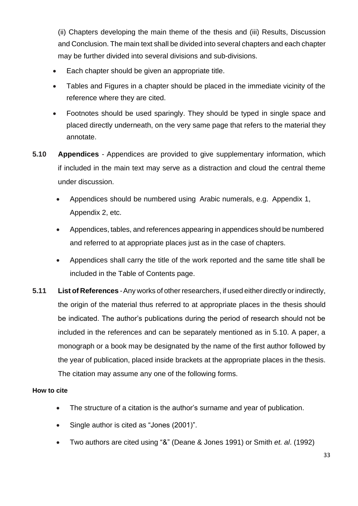(ii) Chapters developing the main theme of the thesis and (iii) Results, Discussion and Conclusion. The main text shall be divided into several chapters and each chapter may be further divided into several divisions and sub-divisions.

- Each chapter should be given an appropriate title.
- Tables and Figures in a chapter should be placed in the immediate vicinity of the reference where they are cited.
- Footnotes should be used sparingly. They should be typed in single space and placed directly underneath, on the very same page that refers to the material they annotate.
- **5.10 Appendices** Appendices are provided to give supplementary information, which if included in the main text may serve as a distraction and cloud the central theme under discussion.
	- Appendices should be numbered using Arabic numerals, e.g. Appendix 1, Appendix 2, etc.
	- Appendices, tables, and references appearing in appendices should be numbered and referred to at appropriate places just as in the case of chapters.
	- Appendices shall carry the title of the work reported and the same title shall be included in the Table of Contents page.
- **5.11 List of References** -Any works of other researchers, if used either directly or indirectly, the origin of the material thus referred to at appropriate places in the thesis should be indicated. The author's publications during the period of research should not be included in the references and can be separately mentioned as in 5.10. A paper, a monograph or a book may be designated by the name of the first author followed by the year of publication, placed inside brackets at the appropriate places in the thesis. The citation may assume any one of the following forms.

#### **How to cite**

- The structure of a citation is the author's surname and year of publication.
- Single author is cited as "Jones (2001)".
- Two authors are cited using "&" (Deane & Jones 1991) or Smith *et. al*. (1992)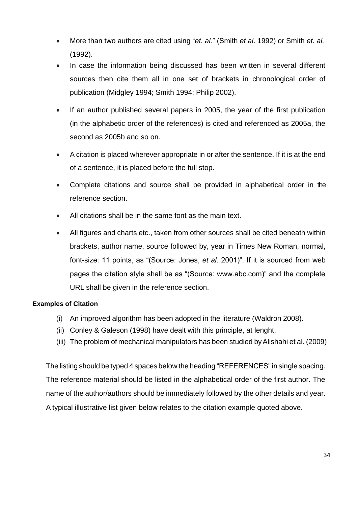- More than two authors are cited using "*et. al.*" (Smith *et al*. 1992) or Smith *et. al.* (1992).
- In case the information being discussed has been written in several different sources then cite them all in one set of brackets in chronological order of publication (Midgley 1994; Smith 1994; Philip 2002).
- If an author published several papers in 2005, the year of the first publication (in the alphabetic order of the references) is cited and referenced as 2005a, the second as 2005b and so on.
- A citation is placed wherever appropriate in or after the sentence. If it is at the end of a sentence, it is placed before the full stop.
- Complete citations and source shall be provided in alphabetical order in the reference section.
- All citations shall be in the same font as the main text.
- All figures and charts etc., taken from other sources shall be cited beneath within brackets, author name, source followed by, year in Times New Roman, normal, font-size: 11 points, as "(Source: Jones, *et al*. 2001)". If it is sourced from web pages the citation style shall be as "(Source: www.abc.com)" and the complete URL shall be given in the reference section.

#### **Examples of Citation**

- (i) An improved algorithm has been adopted in the literature (Waldron 2008).
- (ii) Conley & Galeson (1998) have dealt with this principle, at lenght.
- (iii) The problem of mechanical manipulators has been studied byAlishahi et al. (2009)

The listing should be typed 4 spaces below the heading "REFERENCES"in single spacing. The reference material should be listed in the alphabetical order of the first author. The name of the author/authors should be immediately followed by the other details and year. A typical illustrative list given below relates to the citation example quoted above.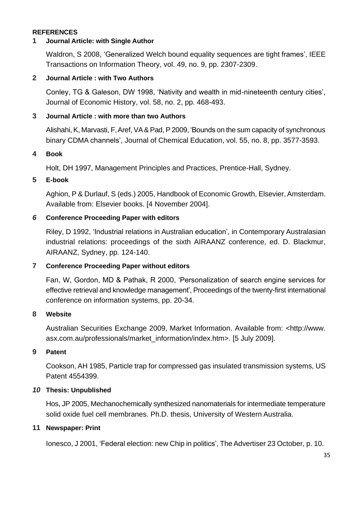#### **REFERENCES**

#### **1 Journal Article: with Single Author**

Waldron, S 2008, 'Generalized Welch bound equality sequences are tight frames', IEEE Transactions on Information Theory, vol. 49, no. 9, pp. 2307-2309.

#### **2 Journal Article : with Two Authors**

Conley, TG & Galeson, DW 1998, 'Nativity and wealth in mid-nineteenth century cities', Journal of Economic History, vol. 58, no. 2, pp. 468-493.

#### **3 Journal Article : with more than two Authors**

Alishahi, K, Marvasti, F,Aref, VA& Pad, P2009, 'Bounds on the sum capacity of synchronous binary CDMA channels', Journal of Chemical Education, vol. 55, no. 8, pp. 3577-3593.

#### **4 Book**

Holt, DH 1997, Management Principles and Practices, Prentice-Hall, Sydney.

### **5 E-book**

Aghion, P & Durlauf, S (eds.) 2005, Handbook of Economic Growth, Elsevier, Amsterdam. Available from: Elsevier books. [4 November 2004].

#### *6* **Conference Proceeding Paper with editors**

Riley, D 1992, 'Industrial relations in Australian education', in Contemporary Australasian industrial relations: proceedings of the sixth AIRAANZ conference, ed. D. Blackmur, AIRAANZ, Sydney, pp. 124-140.

#### **7 Conference Proceeding Paper without editors**

Fan, W, Gordon, MD & Pathak, R 2000, 'Personalization of search engine services for effective retrieval and knowledge management', Proceedings of the twenty-first international conference on information systems, pp. 20-34.

#### **8 Website**

Australian Securities Exchange 2009, Market Information. Available from: [<http://www.](http://www/) asx.com.au/professionals/market\_information/index.htm>. [5 July 2009].

#### **9 Patent**

Cookson, AH 1985, Particle trap for compressed gas insulated transmission systems, US Patent 4554399.

#### *10* **Thesis: Unpublished**

Hos, JP 2005, Mechanochemically synthesized nanomaterials for intermediate temperature solid oxide fuel cell membranes. Ph.D. thesis, University of Western Australia.

#### **11 Newspaper: Print**

Ionesco, J 2001, 'Federal election: new Chip in politics', The Advertiser 23 October, p. 10.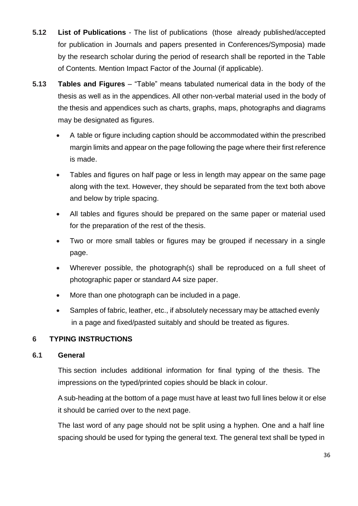- **5.12 List of Publications**  The list of publications (those already published/accepted for publication in Journals and papers presented in Conferences/Symposia) made by the research scholar during the period of research shall be reported in the Table of Contents. Mention Impact Factor of the Journal (if applicable).
- **5.13 Tables and Figures**  "Table" means tabulated numerical data in the body of the thesis as well as in the appendices. All other non-verbal material used in the body of the thesis and appendices such as charts, graphs, maps, photographs and diagrams may be designated as figures.
	- A table or figure including caption should be accommodated within the prescribed margin limits and appear on the page following the page where their first reference is made.
	- Tables and figures on half page or less in length may appear on the same page along with the text. However, they should be separated from the text both above and below by triple spacing.
	- All tables and figures should be prepared on the same paper or material used for the preparation of the rest of the thesis.
	- Two or more small tables or figures may be grouped if necessary in a single page.
	- Wherever possible, the photograph(s) shall be reproduced on a full sheet of photographic paper or standard A4 size paper.
	- More than one photograph can be included in a page.
	- Samples of fabric, leather, etc., if absolutely necessary may be attached evenly in a page and fixed/pasted suitably and should be treated as figures.

### **6 TYPING INSTRUCTIONS**

#### **6.1 General**

This section includes additional information for final typing of the thesis. The impressions on the typed/printed copies should be black in colour.

A sub-heading at the bottom of a page must have at least two full lines below it or else it should be carried over to the next page.

The last word of any page should not be split using a hyphen. One and a half line spacing should be used for typing the general text. The general text shall be typed in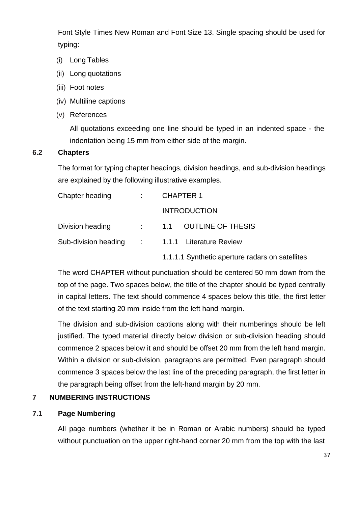Font Style Times New Roman and Font Size 13. Single spacing should be used for typing:

- (i) Long Tables
- (ii) Long quotations
- (iii) Foot notes
- (iv) Multiline captions
- (v) References

All quotations exceeding one line should be typed in an indented space - the indentation being 15 mm from either side of the margin.

#### **6.2 Chapters**

The format for typing chapter headings, division headings, and sub-division headings are explained by the following illustrative examples.

| Chapter heading  | : CHAPTER 1                                     |  |  |
|------------------|-------------------------------------------------|--|--|
|                  | <b>INTRODUCTION</b>                             |  |  |
| Division heading | $\therefore$ 1.1 OUTLINE OF THESIS              |  |  |
|                  | Sub-division heading : 1.1.1 Literature Review  |  |  |
|                  | 1.1.1.1 Synthetic aperture radars on satellites |  |  |

The word CHAPTER without punctuation should be centered 50 mm down from the top of the page. Two spaces below, the title of the chapter should be typed centrally in capital letters. The text should commence 4 spaces below this title, the first letter of the text starting 20 mm inside from the left hand margin.

The division and sub-division captions along with their numberings should be left justified. The typed material directly below division or sub-division heading should commence 2 spaces below it and should be offset 20 mm from the left hand margin. Within a division or sub-division, paragraphs are permitted. Even paragraph should commence 3 spaces below the last line of the preceding paragraph, the first letter in the paragraph being offset from the left-hand margin by 20 mm.

#### **7 NUMBERING INSTRUCTIONS**

#### **7.1 Page Numbering**

All page numbers (whether it be in Roman or Arabic numbers) should be typed without punctuation on the upper right-hand corner 20 mm from the top with the last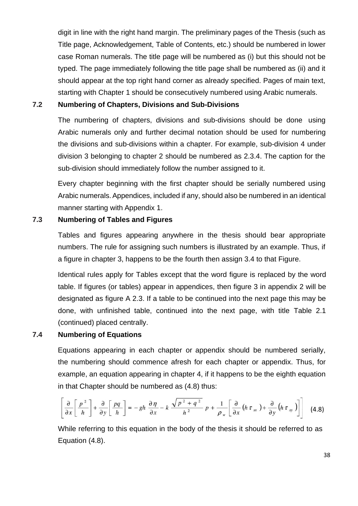digit in line with the right hand margin. The preliminary pages of the Thesis (such as Title page, Acknowledgement, Table of Contents, etc.) should be numbered in lower case Roman numerals. The title page will be numbered as (i) but this should not be typed. The page immediately following the title page shall be numbered as (ii) and it should appear at the top right hand corner as already specified. Pages of main text, starting with Chapter 1 should be consecutively numbered using Arabic numerals.

#### **7.2 Numbering of Chapters, Divisions and Sub-Divisions**

The numbering of chapters, divisions and sub-divisions should be done using Arabic numerals only and further decimal notation should be used for numbering the divisions and sub-divisions within a chapter. For example, sub-division 4 under division 3 belonging to chapter 2 should be numbered as 2.3.4. The caption for the sub-division should immediately follow the number assigned to it.

Every chapter beginning with the first chapter should be serially numbered using Arabic numerals.Appendices, included if any, should also be numbered in an identical manner starting with Appendix 1.

#### **7.3 Numbering of Tables and Figures**

Tables and figures appearing anywhere in the thesis should bear appropriate numbers. The rule for assigning such numbers is illustrated by an example. Thus, if a figure in chapter 3, happens to be the fourth then assign 3.4 to that Figure.

Identical rules apply for Tables except that the word figure is replaced by the word table. If figures (or tables) appear in appendices, then figure 3 in appendix 2 will be designated as figure A 2.3. If a table to be continued into the next page this may be done, with unfinished table, continued into the next page, with title Table 2.1 (continued) placed centrally.

#### **7.4 Numbering of Equations**

Equations appearing in each chapter or appendix should be numbered serially, the numbering should commence afresh for each chapter or appendix. Thus, for example, an equation appearing in chapter 4, if it happens to be the eighth equation in that Chapter should be numbered as (4.8) thus:

$$
\left[\frac{\partial}{\partial x}\left[\frac{p^2}{h}\right] + \frac{\partial}{\partial y}\left[\frac{pq}{h}\right] = -gh\,\frac{\partial\eta}{\partial x} - k\,\frac{\sqrt{p^2 + q^2}}{h^2}\,p + \frac{1}{\rho_w}\left[\frac{\partial}{\partial x}\left(h\,\tau_{xx}\right) + \frac{\partial}{\partial y}\left(h\,\tau_{xy}\right)\right]\right] \tag{4.8}
$$

While referring to this equation in the body of the thesis it should be referred to as Equation (4.8).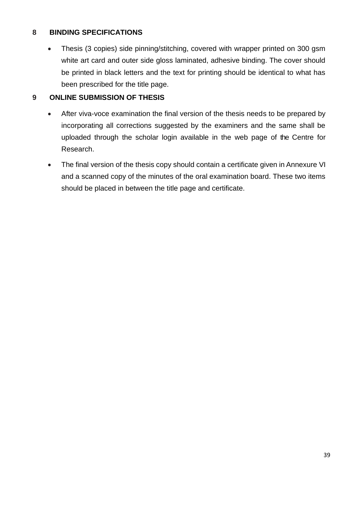### **8 BINDING SPECIFICATIONS**

• Thesis (3 copies) side pinning/stitching, covered with wrapper printed on 300 gsm white art card and outer side gloss laminated, adhesive binding. The cover should be printed in black letters and the text for printing should be identical to what has been prescribed for the title page.

### **9 ONLINE SUBMISSION OF THESIS**

- After viva-voce examination the final version of the thesis needs to be prepared by incorporating all corrections suggested by the examiners and the same shall be uploaded through the scholar login available in the web page of the Centre for Research.
- The final version of the thesis copy should contain a certificate given in Annexure VI and a scanned copy of the minutes of the oral examination board. These two items should be placed in between the title page and certificate.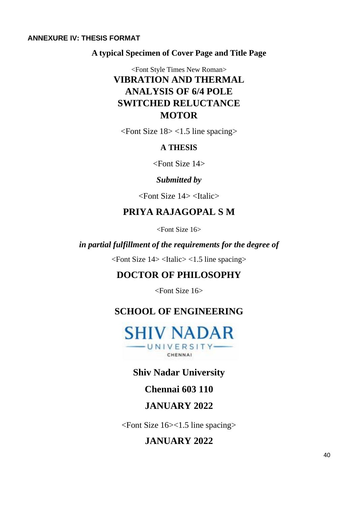#### <span id="page-39-0"></span>**ANNEXURE IV: THESIS FORMAT**

**A typical Specimen of Cover Page and Title Page**

<Font Style Times New Roman> **VIBRATION AND THERMAL ANALYSIS OF 6/4 POLE SWITCHED RELUCTANCE MOTOR**

<Font Size 18> <1.5 line spacing>

### **A THESIS**

<Font Size 14>

### *Submitted by*

 $\epsilon$ Font Size 14 $>$   $\epsilon$ Italic $>$ 

### **PRIYA RAJAGOPAL S M**

<Font Size 16>

### *in partial fulfillment of the requirements for the degree of*

 $\epsilon$ Font Size 14> $\epsilon$ Italic> $\epsilon$ 1.5 line spacing>

# **DOCTOR OF PHILOSOPHY**

<Font Size 16>

# **SCHOOL OF ENGINEERING**



# **Shiv Nadar University**

**Chennai 603 110**

# **JANUARY 2022**

<Font Size 16><1.5 line spacing>

# **JANUARY 2022**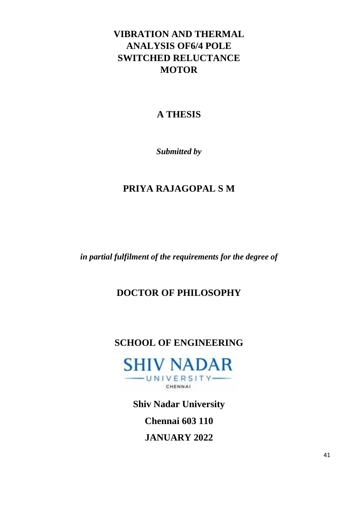# **VIBRATION AND THERMAL ANALYSIS OF6/4 POLE SWITCHED RELUCTANCE MOTOR**

# **A THESIS**

*Submitted by*

# **PRIYA RAJAGOPAL S M**

*in partial fulfilment of the requirements for the degree of*

# **DOCTOR OF PHILOSOPHY**

# **SCHOOL OF ENGINEERING**



**Shiv Nadar University** 

**Chennai 603 110**

**JANUARY 2022**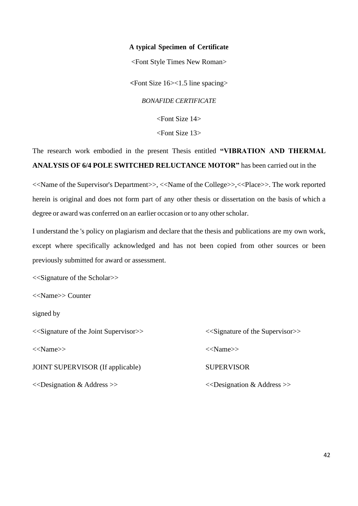#### **A typical Specimen of Certificate**

<Font Style Times New Roman>

**<**Font Size 16><1.5 line spacing>

*BONAFIDE CERTIFICATE*

<Font Size 14>

<Font Size 13>

The research work embodied in the present Thesis entitled **"VIBRATION AND THERMAL ANALYSIS OF 6/4 POLE SWITCHED RELUCTANCE MOTOR"** has been carried out in the

<<Name of the Supervisor's Department>>, <<Name of the College>>,<<Place>>. The work reported herein is original and does not form part of any other thesis or dissertation on the basis of which a degree or award was conferred on an earlier occasion or to any other scholar.

I understand the 's policy on plagiarism and declare that the thesis and publications are my own work, except where specifically acknowledged and has not been copied from other sources or been previously submitted for award or assessment.

<<Signature of the Scholar>>

<<Name>> Counter

signed by

<<Signature of the Joint Supervisor>> <<Signature of the Supervisor>> <<Name>> <<Name>> JOINT SUPERVISOR (If applicable) SUPERVISOR <<Designation & Address >> <<Designation & Address >>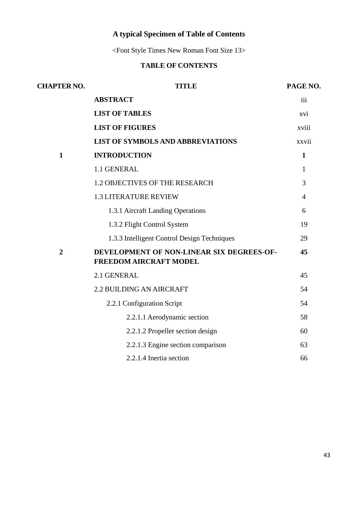# **A typical Specimen of Table of Contents**

<Font Style Times New Roman Font Size 13>

# **TABLE OF CONTENTS**

| <b>CHAPTER NO.</b> | <b>TITLE</b>                                                               | PAGE NO.       |
|--------------------|----------------------------------------------------------------------------|----------------|
|                    | <b>ABSTRACT</b>                                                            | iii            |
|                    | <b>LIST OF TABLES</b>                                                      | xvi            |
|                    | <b>LIST OF FIGURES</b>                                                     | xviii          |
|                    | <b>LIST OF SYMBOLS AND ABBREVIATIONS</b>                                   | xxvii          |
| $\mathbf{1}$       | <b>INTRODUCTION</b>                                                        | $\mathbf{1}$   |
|                    | 1.1 GENERAL                                                                | 1              |
|                    | <b>1.2 OBJECTIVES OF THE RESEARCH</b>                                      | 3              |
|                    | <b>1.3 LITERATURE REVIEW</b>                                               | $\overline{4}$ |
|                    | 1.3.1 Aircraft Landing Operations                                          | 6              |
|                    | 1.3.2 Flight Control System                                                | 19             |
|                    | 1.3.3 Intelligent Control Design Techniques                                | 29             |
| $\overline{2}$     | DEVELOPMENT OF NON-LINEAR SIX DEGREES-OF-<br><b>FREEDOM AIRCRAFT MODEL</b> | 45             |
|                    | 2.1 GENERAL                                                                | 45             |
|                    | <b>2.2 BUILDING AN AIRCRAFT</b>                                            | 54             |
|                    | 2.2.1 Configuration Script                                                 | 54             |
|                    | 2.2.1.1 Aerodynamic section                                                | 58             |
|                    | 2.2.1.2 Propeller section design                                           | 60             |
|                    | 2.2.1.3 Engine section comparison                                          | 63             |
|                    | 2.2.1.4 Inertia section                                                    | 66             |
|                    |                                                                            |                |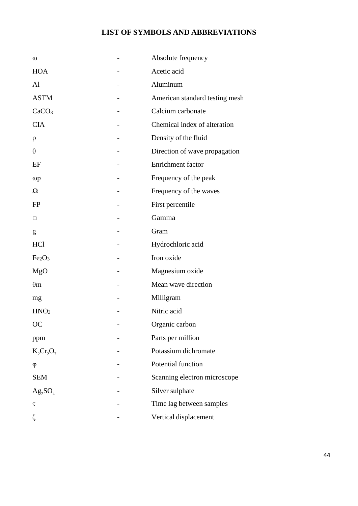### **LIST OF SYMBOLS AND ABBREVIATIONS**

| $\omega$                       | Absolute frequency             |
|--------------------------------|--------------------------------|
| <b>HOA</b>                     | Acetic acid                    |
| Al                             | Aluminum                       |
| <b>ASTM</b>                    | American standard testing mesh |
| CaCO <sub>3</sub>              | Calcium carbonate              |
| <b>CIA</b>                     | Chemical index of alteration   |
| $\rho$                         | Density of the fluid           |
| $\theta$                       | Direction of wave propagation  |
| EF                             | Enrichment factor              |
| $\omega p$                     | Frequency of the peak          |
| Ω                              | Frequency of the waves         |
| <b>FP</b>                      | First percentile               |
| □                              | Gamma                          |
| g                              | Gram                           |
| <b>HCl</b>                     | Hydrochloric acid              |
| Fe <sub>2</sub> O <sub>3</sub> | Iron oxide                     |
| MgO                            | Magnesium oxide                |
| $\theta$ m                     | Mean wave direction            |
| mg                             | Milligram                      |
| HNO <sub>3</sub>               | Nitric acid                    |
| <b>OC</b>                      | Organic carbon                 |
| ppm                            | Parts per million              |
| $K_2Cr_2O_7$                   | Potassium dichromate           |
| $\varphi$                      | Potential function             |
| <b>SEM</b>                     | Scanning electron microscope   |
| $Ag_2SO_4$                     | Silver sulphate                |
| τ                              | Time lag between samples       |
| ζ                              | Vertical displacement          |